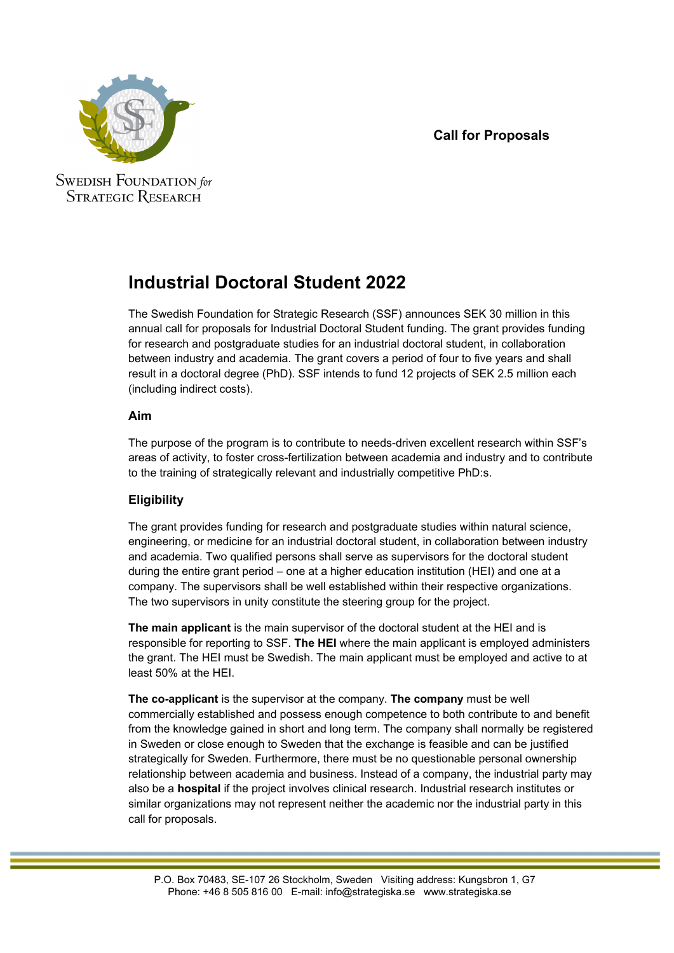## **Call for Proposals**



**SWEDISH FOUNDATION** for **STRATEGIC RESEARCH** 

# **Industrial Doctoral Student 2022**

The Swedish Foundation for Strategic Research (SSF) announces SEK 30 million in this annual call for proposals for Industrial Doctoral Student funding. The grant provides funding for research and postgraduate studies for an industrial doctoral student, in collaboration between industry and academia. The grant covers a period of four to five years and shall result in a doctoral degree (PhD). SSF intends to fund 12 projects of SEK 2.5 million each (including indirect costs).

### **Aim**

The purpose of the program is to contribute to needs-driven excellent research within SSF's areas of activity, to foster cross-fertilization between academia and industry and to contribute to the training of strategically relevant and industrially competitive PhD:s.

## **Eligibility**

The grant provides funding for research and postgraduate studies within natural science, engineering, or medicine for an industrial doctoral student, in collaboration between industry and academia. Two qualified persons shall serve as supervisors for the doctoral student during the entire grant period – one at a higher education institution (HEI) and one at a company. The supervisors shall be well established within their respective organizations. The two supervisors in unity constitute the steering group for the project.

**The main applicant** is the main supervisor of the doctoral student at the HEI and is responsible for reporting to SSF. **The HEI** where the main applicant is employed administers the grant. The HEI must be Swedish. The main applicant must be employed and active to at least 50% at the HEI.

**The co-applicant** is the supervisor at the company. **The company** must be well commercially established and possess enough competence to both contribute to and benefit from the knowledge gained in short and long term. The company shall normally be registered in Sweden or close enough to Sweden that the exchange is feasible and can be justified strategically for Sweden. Furthermore, there must be no questionable personal ownership relationship between academia and business. Instead of a company, the industrial party may also be a **hospital** if the project involves clinical research. Industrial research institutes or similar organizations may not represent neither the academic nor the industrial party in this call for proposals.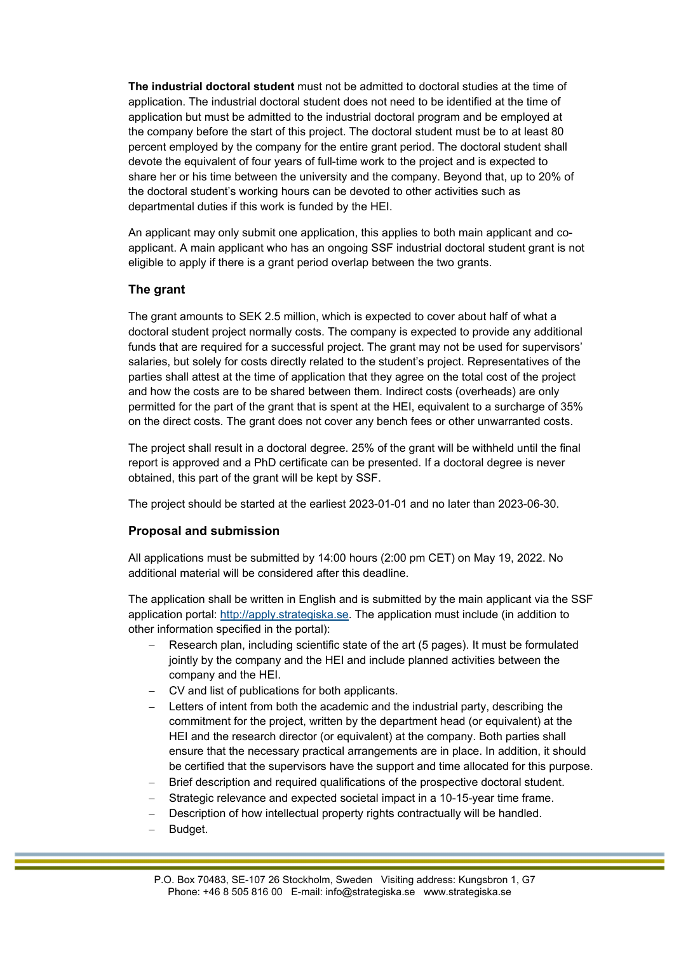**The industrial doctoral student** must not be admitted to doctoral studies at the time of application. The industrial doctoral student does not need to be identified at the time of application but must be admitted to the industrial doctoral program and be employed at the company before the start of this project. The doctoral student must be to at least 80 percent employed by the company for the entire grant period. The doctoral student shall devote the equivalent of four years of full-time work to the project and is expected to share her or his time between the university and the company. Beyond that, up to 20% of the doctoral student's working hours can be devoted to other activities such as departmental duties if this work is funded by the HEI.

An applicant may only submit one application, this applies to both main applicant and coapplicant. A main applicant who has an ongoing SSF industrial doctoral student grant is not eligible to apply if there is a grant period overlap between the two grants.

#### **The grant**

The grant amounts to SEK 2.5 million, which is expected to cover about half of what a doctoral student project normally costs. The company is expected to provide any additional funds that are required for a successful project. The grant may not be used for supervisors' salaries, but solely for costs directly related to the student's project. Representatives of the parties shall attest at the time of application that they agree on the total cost of the project and how the costs are to be shared between them. Indirect costs (overheads) are only permitted for the part of the grant that is spent at the HEI, equivalent to a surcharge of 35% on the direct costs. The grant does not cover any bench fees or other unwarranted costs.

The project shall result in a doctoral degree. 25% of the grant will be withheld until the final report is approved and a PhD certificate can be presented. If a doctoral degree is never obtained, this part of the grant will be kept by SSF.

The project should be started at the earliest 2023-01-01 and no later than 2023-06-30.

#### **Proposal and submission**

All applications must be submitted by 14:00 hours (2:00 pm CET) on May 19, 2022. No additional material will be considered after this deadline.

The application shall be written in English and is submitted by the main applicant via the SSF application portal: http://apply.strategiska.se. The application must include (in addition to other information specified in the portal):

- Research plan, including scientific state of the art (5 pages). It must be formulated jointly by the company and the HEI and include planned activities between the company and the HEI.
- CV and list of publications for both applicants.
- Letters of intent from both the academic and the industrial party, describing the commitment for the project, written by the department head (or equivalent) at the HEI and the research director (or equivalent) at the company. Both parties shall ensure that the necessary practical arrangements are in place. In addition, it should be certified that the supervisors have the support and time allocated for this purpose.
- Brief description and required qualifications of the prospective doctoral student.
- Strategic relevance and expected societal impact in a 10-15-year time frame.
- Description of how intellectual property rights contractually will be handled.
- Budget.